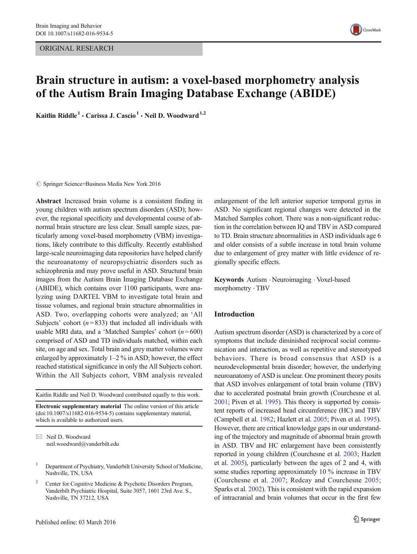ORIGINAL RESEARCH



# Brain structure in autism: a voxel-based morphometry analysis of the Autism Brain Imaging Database Exchange (ABIDE)

Kaitlin Riddle<sup>1</sup> · Carissa J. Cascio<sup>1</sup> · Neil D. Woodward<sup>1,2</sup>

 $\circ$  Springer Science+Business Media New York 2016

Abstract Increased brain volume is a consistent finding in young children with autism spectrum disorders (ASD); however, the regional specificity and developmental course of abnormal brain structure are less clear. Small sample sizes, particularly among voxel-based morphometry (VBM) investigations, likely contribute to this difficulty. Recently established large-scale neuroimaging data repositories have helped clarify the neuroanatomy of neuropsychiatric disorders such as schizophrenia and may prove useful in ASD. Structural brain images from the Autism Brain Imaging Database Exchange (ABIDE), which contains over 1100 participants, were analyzing using DARTEL VBM to investigate total brain and tissue volumes, and regional brain structure abnormalities in ASD. Two, overlapping cohorts were analyzed; an 'All Subjects' cohort ( $n = 833$ ) that included all individuals with usable MRI data, and a 'Matched Samples' cohort ( $n = 600$ ) comprised of ASD and TD individuals matched, within each site, on age and sex. Total brain and grey matter volumes were enlarged by approximately 1–2 % in ASD; however, the effect reached statistical significance in only the All Subjects cohort. Within the All Subjects cohort, VBM analysis revealed

Kaitlin Riddle and Neil D. Woodward contributed equally to this work.

Electronic supplementary material The online version of this article (doi[:10.1007/s11682-016-9534-5\)](http://dx.doi.org/10.1007/s11682-016-9534-5) contains supplementary material, which is available to authorized users.

 $\boxtimes$  Neil D. Woodward neil.woodward@vanderbilt.edu enlargement of the left anterior superior temporal gyrus in ASD. No significant regional changes were detected in the Matched Samples cohort. There was a non-significant reduction in the correlation between IQ and TBV in ASD compared to TD. Brain structure abnormalities in ASD individuals age 6 and older consists of a subtle increase in total brain volume due to enlargement of grey matter with little evidence of regionally specific effects.

Keywords Autism . Neuroimaging . Voxel-based morphometry . TBV

# Introduction

Autism spectrum disorder (ASD) is characterized by a core of symptoms that include diminished reciprocal social communication and interaction, as well as repetitive and stereotyped behaviors. There is broad consensus that ASD is a neurodevelopmental brain disorder; however, the underlying neuroanatomy of ASD is unclear. One prominent theory posits that ASD involves enlargement of total brain volume (TBV) due to accelerated postnatal brain growth (Courchesne et al. [2001;](#page-8-0) Piven et al. [1995\)](#page-9-0). This theory is supported by consistent reports of increased head circumference (HC) and TBV (Campbell et al. [1982;](#page-8-0) Hazlett et al. [2005](#page-9-0); Piven et al. [1995\)](#page-9-0). However, there are critical knowledge gaps in our understanding of the trajectory and magnitude of abnormal brain growth in ASD. TBV and HC enlargement have been consistently reported in young children (Courchesne et al. [2003](#page-8-0); Hazlett et al. [2005](#page-9-0)), particularly between the ages of 2 and 4, with some studies reporting approximately 10 % increase in TBV (Courchesne et al. [2007](#page-8-0); Redcay and Courchesne [2005;](#page-9-0) Sparks et al. [2002](#page-9-0)). This is consistent with the rapid expansion of intracranial and brain volumes that occur in the first few

<sup>&</sup>lt;sup>1</sup> Department of Psychiatry, Vanderbilt University School of Medicine, Nashville, TN, USA

Center for Cognitive Medicine & Psychotic Disorders Program, Vanderbilt Psychiatric Hospital, Suite 3057, 1601 23rd Ave. S., Nashville, TN 37212, USA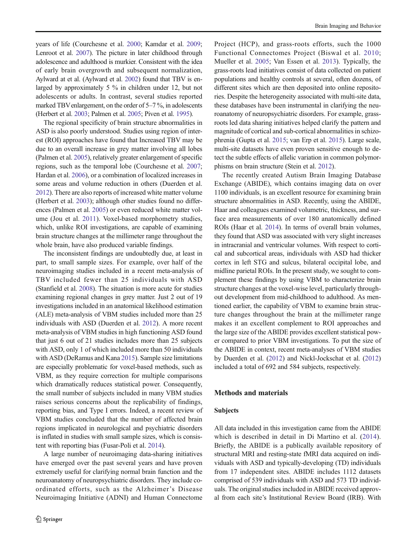years of life (Courchesne et al. [2000;](#page-8-0) Kamdar et al. [2009](#page-9-0); Lenroot et al. [2007\)](#page-9-0). The picture in later childhood through adolescence and adulthood is murkier. Consistent with the idea of early brain overgrowth and subsequent normalization, Aylward at et al. (Aylward et al. [2002](#page-8-0)) found that TBV is enlarged by approximately 5 % in children under 12, but not adolescents or adults. In contrast, several studies reported marked TBV enlargement, on the order of 5–7 %, in adolescents (Herbert et al. [2003](#page-9-0); Palmen et al. [2005](#page-9-0); Piven et al. [1995\)](#page-9-0).

The regional specificity of brain structure abnormalities in ASD is also poorly understood. Studies using region of interest (ROI) approaches have found that Increased TBV may be due to an overall increase in grey matter involving all lobes (Palmen et al. [2005](#page-9-0)), relatively greater enlargement of specific regions, such as the temporal lobe (Courchesne et al. [2007](#page-8-0); Hardan et al. [2006\)](#page-9-0), or a combination of localized increases in some areas and volume reduction in others (Duerden et al. [2012\)](#page-8-0). There are also reports of increased white matter volume (Herbert et al. [2003](#page-9-0)); although other studies found no differences (Palmen et al. [2005](#page-9-0)) or even reduced white matter volume (Jou et al. [2011\)](#page-9-0). Voxel-based morphometry studies, which, unlike ROI investigations, are capable of examining brain structure changes at the millimeter range throughout the whole brain, have also produced variable findings.

The inconsistent findings are undoubtedly due, at least in part, to small sample sizes. For example, over half of the neuroimaging studies included in a recent meta-analysis of TBV included fewer than 25 individuals with ASD (Stanfield et al. [2008](#page-9-0)). The situation is more acute for studies examining regional changes in grey matter. Just 2 out of 19 investigations included in an anatomical likelihood estimation (ALE) meta-analysis of VBM studies included more than 25 individuals with ASD (Duerden et al. [2012](#page-8-0)). A more recent meta-analysis of VBM studies in high functioning ASD found that just 6 out of 21 studies includes more than 25 subjects with ASD, only 1 of which included more than 50 individuals with ASD (DeRamus and Kana [2015\)](#page-8-0). Sample size limitations are especially problematic for voxel-based methods, such as VBM, as they require correction for multiple comparisons which dramatically reduces statistical power. Consequently, the small number of subjects included in many VBM studies raises serious concerns about the replicability of findings, reporting bias, and Type I errors. Indeed, a recent review of VBM studies concluded that the number of affected brain regions implicated in neurological and psychiatric disorders is inflated in studies with small sample sizes, which is consistent with reporting bias (Fusar-Poli et al. [2014\)](#page-8-0).

A large number of neuroimaging data-sharing initiatives have emerged over the past several years and have proven extremely useful for clarifying normal brain function and the neuroanatomy of neuropsychiatric disorders. They include coordinated efforts, such as the Alzheimer's Disease Neuroimaging Initiative (ADNI) and Human Connectome Project (HCP), and grass-roots efforts, such the 1000 Functional Connectomes Project (Biswal et al. [2010;](#page-8-0) Mueller et al. [2005;](#page-9-0) Van Essen et al. [2013](#page-10-0)). Typically, the grass-roots lead initiatives consist of data collected on patient populations and healthy controls at several, often dozens, of different sites which are then deposited into online repositories. Despite the heterogeneity associated with multi-site data, these databases have been instrumental in clarifying the neuroanatomy of neuropsychiatric disorders. For example, grassroots led data sharing initiatives helped clarify the pattern and magnitude of cortical and sub-cortical abnormalities in schizophrenia (Gupta et al. [2015;](#page-9-0) van Erp et al. [2015](#page-10-0)). Large scale, multi-site datasets have even proven sensitive enough to detect the subtle effects of allelic variation in common polymorphisms on brain structure (Stein et al. [2012](#page-10-0)).

The recently created Autism Brain Imaging Database Exchange (ABIDE), which contains imaging data on over 1100 individuals, is an excellent resource for examining brain structure abnormalities in ASD. Recently, using the ABIDE, Haar and colleagues examined volumetric, thickness, and surface area measurements of over 180 anatomically defined ROIs (Haar et al. [2014](#page-9-0)). In terms of overall brain volumes, they found that ASD was associated with very slight increases in intracranial and ventricular volumes. With respect to cortical and subcortical areas, individuals with ASD had thicker cortex in left STG and sulcus, bilateral occipital lobe, and midline parietal ROIs. In the present study, we sought to complement these findings by using VBM to characterize brain structure changes at the voxel-wise level, particularly throughout development from mid-childhood to adulthood. As mentioned earlier, the capability of VBM to examine brain structure changes throughout the brain at the millimeter range makes it an excellent complement to ROI approaches and the large size of the ABIDE provides excellent statistical power compared to prior VBM investigations. To put the size of the ABIDE in context, recent meta-analyses of VBM studies by Duerden et al. ([2012\)](#page-8-0) and Nickl-Jockschat et al. [\(2012](#page-9-0)) included a total of 692 and 584 subjects, respectively.

### Methods and materials

#### Subjects

All data included in this investigation came from the ABIDE which is described in detail in Di Martino et al. ([2014](#page-8-0)). Briefly, the ABIDE is a publically available repository of structural MRI and resting-state fMRI data acquired on individuals with ASD and typically-developing (TD) individuals from 17 independent sites. ABIDE includes 1112 datasets comprised of 539 individuals with ASD and 573 TD individuals. The original studies included in ABIDE received approval from each site's Institutional Review Board (IRB). With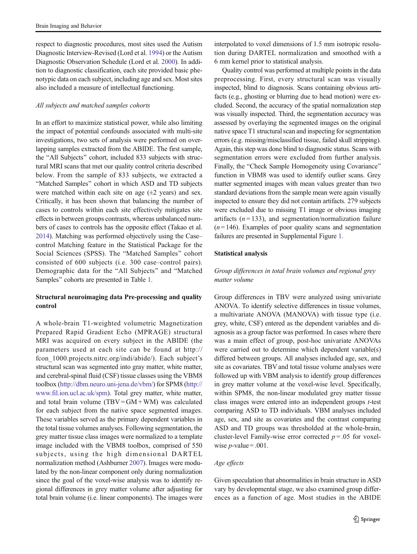respect to diagnostic procedures, most sites used the Autism Diagnostic Interview-Revised (Lord et al. [1994\)](#page-9-0) or the Autism Diagnostic Observation Schedule (Lord et al. [2000](#page-9-0)). In addition to diagnostic classification, each site provided basic phenotypic data on each subject, including age and sex. Most sites also included a measure of intellectual functioning.

#### All subjects and matched samples cohorts

In an effort to maximize statistical power, while also limiting the impact of potential confounds associated with multi-site investigations, two sets of analysis were performed on overlapping samples extracted from the ABIDE. The first sample, the "All Subjects" cohort, included 833 subjects with structural MRI scans that met our quality control criteria described below. From the sample of 833 subjects, we extracted a "Matched Samples" cohort in which ASD and TD subjects were matched within each site on age  $(\pm 2 \text{ years})$  and sex. Critically, it has been shown that balancing the number of cases to controls within each site effectively mitigates site effects in between groups contrasts, whereas unbalanced numbers of cases to controls has the opposite effect (Takao et al. [2014\)](#page-10-0). Matching was performed objectively using the Case– control Matching feature in the Statistical Package for the Social Sciences (SPSS). The "Matched Samples" cohort consisted of 600 subjects (i.e. 300 case–control pairs). Demographic data for the "All Subjects" and "Matched Samples" cohorts are presented in Table [1.](#page-3-0)

# Structural neuroimaging data Pre-processing and quality control

A whole-brain T1-weighted volumetric Magnetization Prepared Rapid Gradient Echo (MPRAGE) structural MRI was acquired on every subject in the ABIDE (the parameters used at each site can be found at http:// fcon\_1000.projects.nitrc.org/indi/abide/). Each subject's structural scan was segmented into gray matter, white matter, and cerebral-spinal fluid (CSF) tissue classes using the VBM8 toolbox (<http://dbm.neuro.uni-jena.de/vbm/>) for SPM8 [\(http://](http://www.fil.ion.ucl.ac.uk/spm) [www.fil.ion.ucl.ac.uk/spm](http://www.fil.ion.ucl.ac.uk/spm)). Total grey matter, white matter, and total brain volume  $(TBV = GM + WM)$  was calculated for each subject from the native space segmented images. These variables served as the primary dependent variables in the total tissue volumes analyses. Following segmentation, the grey matter tissue class images were normalized to a template image included with the VBM8 toolbox, comprised of 550 subjects, using the high dimensional DARTEL normalization method (Ashburner [2007](#page-8-0)). Images were modulated by the non-linear component only during normalization since the goal of the voxel-wise analysis was to identify regional differences in grey matter volume after adjusting for total brain volume (i.e. linear components). The images were

interpolated to voxel dimensions of 1.5 mm isotropic resolution during DARTEL normalization and smoothed with a 6 mm kernel prior to statistical analysis.

Quality control was performed at multiple points in the data preprocessing. First, every structural scan was visually inspected, blind to diagnosis. Scans containing obvious artifacts (e.g., ghosting or blurring due to head motion) were excluded. Second, the accuracy of the spatial normalization step was visually inspected. Third, the segmentation accuracy was assessed by overlaying the segmented images on the original native space T1 structural scan and inspecting for segmentation errors (e.g. missing/misclassified tissue, failed skull stripping). Again, this step was done blind to diagnostic status. Scans with segmentation errors were excluded from further analysis. Finally, the "Check Sample Homogeneity using Covariance" function in VBM8 was used to identify outlier scans. Grey matter segmented images with mean values greater than two standard deviations from the sample mean were again visually inspected to ensure they did not contain artifacts. 279 subjects were excluded due to missing T1 image or obvious imaging artifacts  $(n=133)$ , and segmentation/normalization failure  $(n=146)$ . Examples of poor quality scans and segmentation failures are presented in Supplemental Figure 1.

#### Statistical analysis

## Group differences in total brain volumes and regional grey matter volume

Group differences in TBV were analyzed using univariate ANOVA. To identify selective differences in tissue volumes, a multivariate ANOVA (MANOVA) with tissue type (i.e. grey, white, CSF) entered as the dependent variables and diagnosis as a group factor was performed. In cases where there was a main effect of group, post-hoc univariate ANOVAs were carried out to determine which dependent variable(s) differed between groups. All analyses included age, sex, and site as covariates. TBV and total tissue volume analyses were followed up with VBM analysis to identify group differences in grey matter volume at the voxel-wise level. Specifically, within SPM8, the non-linear modulated grey matter tissue class images were entered into an independent groups t-test comparing ASD to TD individuals. VBM analyses included age, sex, and site as covariates and the contrast comparing ASD and TD groups was thresholded at the whole-brain, cluster-level Family-wise error corrected  $p = .05$  for voxelwise  $p$ -value = .001.

## Age effects

Given speculation that abnormalities in brain structure in ASD vary by developmental stage, we also examined group differences as a function of age. Most studies in the ABIDE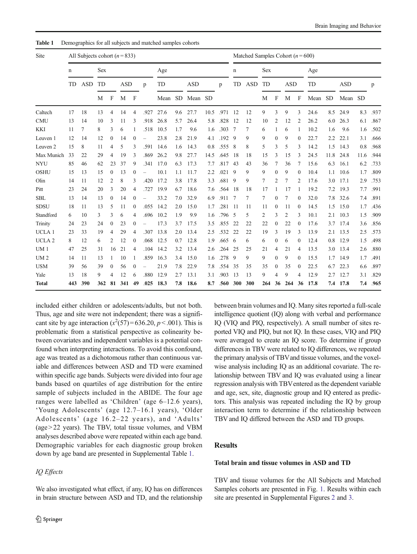| Site              | All Subjects cohort ( $n = 833$ ) |            |     |                |            |                  |      |      |           |            | Matched Samples Cohort ( $n = 600$ ) |             |               |            |     |                  |            |              |      |               |            |      |      |
|-------------------|-----------------------------------|------------|-----|----------------|------------|------------------|------|------|-----------|------------|--------------------------------------|-------------|---------------|------------|-----|------------------|------------|--------------|------|---------------|------------|------|------|
|                   | <b>Sex</b><br>$\mathbf n$         |            |     |                |            |                  |      | Age  |           |            |                                      | $\mathbf n$ |               | Sex        |     |                  |            | Age          |      |               |            |      |      |
|                   | TD                                | <b>ASD</b> | TD  |                | <b>ASD</b> |                  | p    | TD   |           | <b>ASD</b> |                                      | p           | TD            | <b>ASD</b> | TD  |                  | <b>ASD</b> |              | TD   |               | <b>ASD</b> |      | p    |
|                   |                                   |            | М   | F              | M          | F                |      | Mean | <b>SD</b> | Mean SD    |                                      |             |               |            | M   | F                | M          | F            | Mean | <b>SD</b>     | Mean SD    |      |      |
| Caltech           | 17                                | 18         | 13  | $\overline{4}$ | 14         | 4                | .927 | 27.6 | 9.6       | 27.7       | 10.5                                 | .971        | <sup>12</sup> | 12         | 9   | 3                | 9          | 3            | 24.6 | 8.5           | 24.9       | 8.3  | .937 |
| <b>CMU</b>        | 13                                | 14         | 10  | 3              | 11         | 3                | .918 | 26.8 | 5.7       | 26.4       | 5.8                                  | .828        | 12            | 12         | 10  | 2                | 12         | 2            | 26.2 | 6.0           | 26.3       | 6.1  | .867 |
| <b>KKI</b>        | 11                                | 7          | 8   | 3              | 6          |                  | .518 | 10.5 | 1.7       | 9.6        | 1.6                                  | .303        | 7             | 7          | 6   | 1                | 6          | 1            | 10.2 | 1.6           | 9.6        | 1.6  | .502 |
| Leuven 1          | 12                                | 14         | 12  | $\mathbf{0}$   | 14         | $\mathbf{0}$     |      | 23.8 | 2.8       | 21.9       | 4.1                                  | $.192 - 9$  |               | 9          | 9   | $\mathbf{0}$     | 9          | $\Omega$     | 22.7 | $2.2^{\circ}$ | 22.1       | 3.1  | .666 |
| Leuven 2          | 15                                | 8          | 11  | 4              | 5          | 3                | .591 | 14.6 | 1.6       | 14.3       | 0.8                                  | .555        | 8             | 8          | 5   | 3                | 5          | 3            | 14.2 | 1.5           | 14.3       | 0.8  | .968 |
| Max Munich        | 33                                | 22         | 29  | 4              | 19         | 3                | .869 | 26.2 | 9.8       | 27.7       | 14.5                                 | .645        | 18            | 18         | 15  | 3                | 15         | 3            | 24.5 | 11.8          | 24.8       | 11.6 | .944 |
| <b>NYU</b>        | 85                                | 46         | 62  | 23             | 37         | 9                | .341 | 17.0 | 6.3       | 17.3       | 7.7                                  | .817        | 43            | 43         | 36  | 7                | 36         | 7            | 15.6 | 6.3           | 16.1       | 6.2  | .733 |
| <b>OSHU</b>       | 15                                | 13         | 15  | $\mathbf{0}$   | 13         | $\mathbf{0}$     |      | 10.1 | 1.1       | 11.7       | 2.2                                  | .021        | 9             | 9          | 9   | $\mathbf{0}$     | 9          | $\Omega$     | 10.4 | 1.1           | 10.6       | 1.7  | .809 |
| Olin              | 14                                | 11         | 12  | 2              | 8          | 3                | .420 | 17.2 | 3.8       | 17.8       | 3.3                                  | .681        | 9             | 9          | 7   | 2                | 7          | 2            | 17.6 | 3.0           | 17.1       | 2.9  | .753 |
| Pitt              | 23                                | 24         | 20  | 3              | 20         | 4                | .727 | 19.9 | 6.7       | 18.6       | 7.6                                  | .564        | 18            | 18         | 17  | 1                | 17         | 1            | 19.2 | 7.2           | 19.3       | 7.7  | .991 |
| <b>SBL</b>        | 13                                | 14         | 13  | $\mathbf{0}$   | 14         | $\mathbf{0}$     |      | 33.2 | 7.0       | 32.9       | 6.9                                  | .911        | 7             | 7          | 7   | $\mathbf{0}$     | 7          | $\Omega$     | 32.0 | 7.8           | 32.6       | 7.4  | .891 |
| <b>SDSU</b>       | 18                                | 11         | 13  | 5              | 11         | $\boldsymbol{0}$ | .055 | 14.2 | 2.0       | 15.0       | 1.7                                  | .281        | 11            | 11         | 11  | $\boldsymbol{0}$ | 11         | $\mathbf{0}$ | 14.5 | 1.5           | 15.0       | 1.7  | .436 |
| Standford         | 6                                 | 10         | 3   | 3              | 6          | 4                | .696 | 10.2 | 1.9       | 9.9        | 1.6                                  | .796 5      |               | 5          | 2   | 3                | 2          | 3            | 10.1 | 2.1           | 10.3       | 1.5  | .909 |
| Trinity           | 24                                | 23         | 24  | $\mathbf{0}$   | 23         | $\mathbf{0}$     |      | 17.3 | 3.7       | 17.5       | 3.5                                  | .855        | 22            | 22         | 22  | $\mathbf{0}$     | 22         | $\mathbf{0}$ | 17.6 | 3.7           | 17.4       | 3.6  | .856 |
| UCLA <sub>1</sub> | 23                                | 33         | 19  | 4              | 29         | $\overline{4}$   | .307 | 13.8 | 2.0       | 13.4       | 2.5                                  | .532        | 22            | 22         | 19  | 3                | 19         | 3            | 13.9 | 2.1           | 13.5       | 2.5  | .573 |
| UCLA <sub>2</sub> | 8                                 | 12         | 6   | 2              | 12         | $\mathbf{0}$     | .068 | 12.5 | 0.7       | 12.8       | 1.9                                  | .6656       |               | 6          | 6   | $\mathbf{0}$     | 6          | 0            | 12.4 | 0.8           | 12.9       | 1.5  | .498 |
| UM <sub>1</sub>   | 47                                | 25         | 31  | 16             | 21         | $\overline{4}$   | .104 | 14.2 | 3.2       | 13.4       | 2.6                                  | .264        | 25            | 25         | 21  | 4                | 21         | 4            | 13.5 | 3.0           | 13.4       | 2.6  | .880 |
| UM <sub>2</sub>   | 14                                | 11         | 13  | 1              | 10         | 1                | .859 | 16.3 | 3.4       | 15.0       | 1.6                                  | .278        | 9             | 9          | 9   | $\mathbf{0}$     | 9          | $\Omega$     | 15.5 | 1.7           | 14.9       | 1.7  | .491 |
| <b>USM</b>        | 39                                | 56         | 39  | $\mathbf{0}$   | 56         | $\mathbf{0}$     |      | 21.9 | 7.8       | 22.9       | 7.8                                  | .554        | 35            | 35         | 35  | $\mathbf{0}$     | 35         | $\Omega$     | 22.5 | 6.7           | 22.3       | 6.6  | .897 |
| Yale              | 13                                | 18         | 9   | 4              | 12         | 6                | .880 | 12.9 | 2.7       | 13.1       | 3.1                                  | .903        | 13            | 13         | 9   | 4                | 9          | 4            | 12.9 | 2.7           | 12.7       | 3.1  | .829 |
| <b>Total</b>      | 443                               | 390        | 362 | 81             | 341        | 49               | .025 | 18.3 | 7.8       | 18.6       | 8.7                                  | .560        | 300           | 300        | 264 | 36               | 264        | 36           | 17.8 | 7.4           | 17.8       | 7.4  | .965 |

<span id="page-3-0"></span>Table 1 Demographics for all subjects and matched samples cohorts

included either children or adolescents/adults, but not both. Thus, age and site were not independent; there was a significant site by age interaction  $(x^2(57)=636.20, p<.001)$ . This is problematic from a statistical perspective as colinearity between covariates and independent variables is a potential confound when interpreting interactions. To avoid this confound, age was treated as a dichotomous rather than continuous variable and differences between ASD and TD were examined within specific age bands. Subjects were divided into four age bands based on quartiles of age distribution for the entire sample of subjects included in the ABIDE. The four age ranges were labelled as 'Children' (age 6–12.6 years), 'Young Adolescents' (age 12.7–16.1 years), 'Older Adolescents' (age 16.2–22 years), and 'Adults' (age > 22 years). The TBV, total tissue volumes, and VBM analyses described above were repeated within each age band. Demographic variables for each diagnostic group broken down by age band are presented in Supplemental Table 1.

## IQ Effects

We also investigated what effect, if any, IQ has on differences in brain structure between ASD and TD, and the relationship between brain volumes and IQ. Many sites reported a full-scale intelligence quotient (IQ) along with verbal and performance IQ (VIQ and PIQ, respectively). A small number of sites reported VIQ and PIQ, but not IQ. In these cases, VIQ and PIQ were averaged to create an IQ score. To determine if group differences in TBV were related to IQ differences, we repeated the primary analysis of TBVand tissue volumes, and the voxelwise analysis including IQ as an additional covariate. The relationship between TBV and IQ was evaluated using a linear regression analysis with TBVentered as the dependent variable and age, sex, site, diagnostic group and IQ entered as predictors. This analysis was repeated including the IQ by group interaction term to determine if the relationship between TBV and IQ differed between the ASD and TD groups.

# Results

## Total brain and tissue volumes in ASD and TD

TBV and tissue volumes for the All Subjects and Matched Samples cohorts are presented in Fig. [1.](#page-4-0) Results within each site are presented in Supplemental Figures 2 and 3.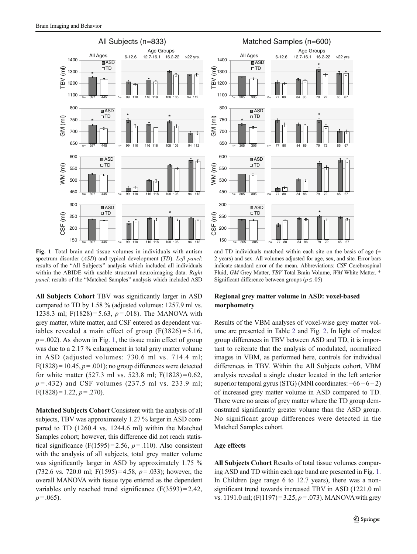<span id="page-4-0"></span>

Fig. 1 Total brain and tissue volumes in individuals with autism spectrum disorder (*ASD*) and typical development (*TD*). Left panel: results of the "All Subjects" analysis which included all individuals within the ABIDE with usable structural neuroimaging data. Right panel: results of the "Matched Samples" analysis which included ASD

All Subjects Cohort TBV was significantly larger in ASD compared to TD by 1.58 % (adjusted volumes: 1257.9 ml vs. 1238.3 ml; F(1828) = 5.63,  $p = .018$ ). The MANOVA with grey matter, white matter, and CSF entered as dependent variables revealed a main effect of group  $(F(3826) = 5.16,$  $p = .002$ ). As shown in Fig. 1, the tissue main effect of group was due to a 2.17 % enlargement in total gray matter volume in ASD (adjusted volumes: 730.6 ml vs. 714.4 ml;  $F(1828) = 10.45$ ,  $p = .001$ ); no group differences were detected for white matter (527.3 ml vs. 523.8 ml;  $F(1828) = 0.62$ ,  $p = .432$ ) and CSF volumes (237.5 ml vs. 233.9 ml;  $F(1828) = 1.22, p = .270$ .

Matched Subjects Cohort Consistent with the analysis of all subjects, TBV was approximately 1.27 % larger in ASD compared to TD (1260.4 vs. 1244.6 ml) within the Matched Samples cohort; however, this difference did not reach statistical significance (F(1595)=2.56,  $p = .110$ ). Also consistent with the analysis of all subjects, total grey matter volume was significantly larger in ASD by approximately 1.75 % (732.6 vs. 720.0 ml;  $F(1595) = 4.58$ ,  $p = .033$ ); however, the overall MANOVA with tissue type entered as the dependent variables only reached trend significance  $(F(3593) = 2.42)$ ,  $p = .065$ ).



and TD individuals matched within each site on the basis of age  $( \pm$ 2 years) and sex. All volumes adjusted for age, sex, and site. Error bars indicate standard error of the mean. Abbreviations: CSF Cerebrospinal Fluid, GM Grey Matter, TBV Total Brain Volume, WM White Matter. \* Significant difference between groups ( $p \le 0.05$ )

## Regional grey matter volume in ASD: voxel-based morphometry

Results of the VBM analyses of voxel-wise grey matter volume are presented in Table [2](#page-5-0) and Fig. [2.](#page-5-0) In light of modest group differences in TBV between ASD and TD, it is important to reiterate that the analysis of modulated, normalized images in VBM, as performed here, controls for individual differences in TBV. Within the All Subjects cohort, VBM analysis revealed a single cluster located in the left anterior superior temporal gyrus (STG) (MNI coordinates: −66−6−2) of increased grey matter volume in ASD compared to TD. There were no areas of grey matter where the TD group demonstrated significantly greater volume than the ASD group. No significant group differences were detected in the Matched Samples cohort.

### Age effects

All Subjects Cohort Results of total tissue volumes comparing ASD and TD within each age band are presented in Fig. 1. In Children (age range 6 to 12.7 years), there was a nonsignificant trend towards increased TBV in ASD (1221.0 ml vs. 1191.0 ml;  $(F(1197) = 3.25, p = .073)$ . MANOVA with grey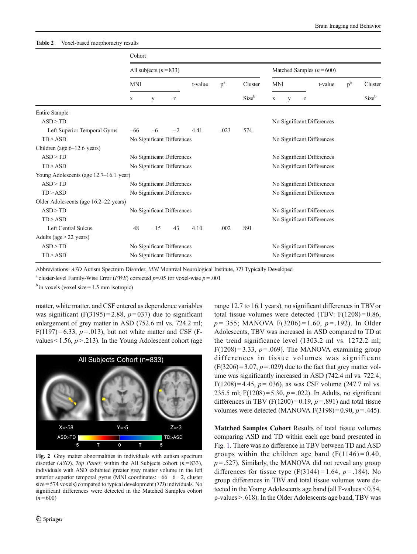<span id="page-5-0"></span>

|                                        | Cohort     |                            |      |         |       |                            |                            |  |                                                       |       |                  |  |  |  |
|----------------------------------------|------------|----------------------------|------|---------|-------|----------------------------|----------------------------|--|-------------------------------------------------------|-------|------------------|--|--|--|
|                                        |            | All subjects $(n=833)$     |      |         |       | Matched Samples $(n=600)$  |                            |  |                                                       |       |                  |  |  |  |
|                                        | <b>MNI</b> |                            |      | t-value | $p^a$ | Cluster                    | <b>MNI</b>                 |  | t-value                                               | $p^a$ | Cluster<br>Sizeb |  |  |  |
|                                        | X          | У                          |      |         |       | Sizeb                      | У<br>X                     |  | $\mathbf{Z}% ^{T}=\mathbf{Z}^{T}\times\mathbf{Z}^{T}$ |       |                  |  |  |  |
| <b>Entire Sample</b>                   |            |                            |      |         |       |                            |                            |  |                                                       |       |                  |  |  |  |
| ASD > TD                               |            |                            |      |         |       |                            | No Significant Differences |  |                                                       |       |                  |  |  |  |
| Left Superior Temporal Gyrus           | $-66$      | $-6$                       | $-2$ | 4.41    | .023  | 574                        |                            |  |                                                       |       |                  |  |  |  |
| TD > ASD                               |            | No Significant Differences |      |         |       |                            | No Significant Differences |  |                                                       |       |                  |  |  |  |
| Children (age $6-12.6$ years)          |            |                            |      |         |       |                            |                            |  |                                                       |       |                  |  |  |  |
| ASD > TD                               |            | No Significant Differences |      |         |       |                            | No Significant Differences |  |                                                       |       |                  |  |  |  |
| TD > ASD                               |            | No Significant Differences |      |         |       |                            | No Significant Differences |  |                                                       |       |                  |  |  |  |
| Young Adolescents (age 12.7-16.1 year) |            |                            |      |         |       |                            |                            |  |                                                       |       |                  |  |  |  |
| ASD > TD                               |            | No Significant Differences |      |         |       |                            | No Significant Differences |  |                                                       |       |                  |  |  |  |
| TD > ASD                               |            | No Significant Differences |      |         |       |                            | No Significant Differences |  |                                                       |       |                  |  |  |  |
| Older Adolescents (age 16.2–22 years)  |            |                            |      |         |       |                            |                            |  |                                                       |       |                  |  |  |  |
| ASD > TD                               |            | No Significant Differences |      |         |       |                            | No Significant Differences |  |                                                       |       |                  |  |  |  |
| TD > ASD                               |            |                            |      |         |       | No Significant Differences |                            |  |                                                       |       |                  |  |  |  |
| Left Central Sulcus                    | $-48$      | $-15$                      | 43   | 4.10    | .002  | 891                        |                            |  |                                                       |       |                  |  |  |  |
| Adults (age $>$ 22 years)              |            |                            |      |         |       |                            |                            |  |                                                       |       |                  |  |  |  |
| ASD > TD                               |            | No Significant Differences |      |         |       |                            | No Significant Differences |  |                                                       |       |                  |  |  |  |
| $TD$ > ASD                             |            | No Significant Differences |      |         |       |                            | No Significant Differences |  |                                                       |       |                  |  |  |  |

Abbreviations: ASD Autism Spectrum Disorder, MNI Montreal Neurological Institute, TD Typically Developed

<sup>a</sup> cluster-level Family-Wise Error (*FWE*) corrected  $p=0.05$  for voxel-wise  $p=0.01$ 

 $<sup>b</sup>$  in voxels (voxel size = 1.5 mm isotropic)</sup>

matter, white matter, and CSF entered as dependence variables was significant (F(3195)=2.88,  $p=037$ ) due to significant enlargement of grey matter in ASD (752.6 ml vs. 724.2 ml;  $F(1197)=6.33, p=.013$ , but not white matter and CSF (Fvalues < 1.56,  $p > 0.213$ ). In the Young Adolescent cohort (age



Fig. 2 Grey matter abnormalities in individuals with autism spectrum disorder (*ASD*). Top Panel: within the All Subjects cohort ( $n = 833$ ), individuals with ASD exhibited greater grey matter volume in the left anterior superior temporal gyrus (MNI coordinates: −66 − 6 − 2, cluster size = 574 voxels) compared to typical development  $(TD)$  individuals. No significant differences were detected in the Matched Samples cohort  $(n = 600)$ 

range 12.7 to 16.1 years), no significant differences in TBVor total tissue volumes were detected (TBV:  $F(1208) = 0.86$ ,  $p = 0.355$ ; MANOVA F(3206) = 1.60,  $p = 0.192$ ). In Older Adolescents, TBV was increased in ASD compared to TD at the trend significance level (1303.2 ml vs. 1272.2 ml;  $F(1208) = 3.33$ ,  $p = .069$ ). The MANOVA examining group differences in tissue volumes was significant  $(F(3206) = 3.07, p = .029)$  due to the fact that grey matter volume was significantly increased in ASD (742.4 ml vs. 722.4; F(1208)=4.45,  $p = .036$ ), as was CSF volume (247.7 ml vs. 235.5 ml; F(1208) = 5.30,  $p = .022$ ). In Adults, no significant differences in TBV (F(1200) = 0.19,  $p = .891$ ) and total tissue volumes were detected (MANOVA F(3198) = 0.90,  $p = .445$ ).

Matched Samples Cohort Results of total tissue volumes comparing ASD and TD within each age band presented in Fig. [1](#page-4-0). There was no difference in TBV between TD and ASD groups within the children age band  $(F(1146) = 0.40,$  $p = .527$ ). Similarly, the MANOVA did not reveal any group differences for tissue type  $(F(3144) = 1.64, p = .184)$ . No group differences in TBV and total tissue volumes were detected in the Young Adolescents age band (all F-values < 0.54, p-values > .618). In the Older Adolescents age band, TBV was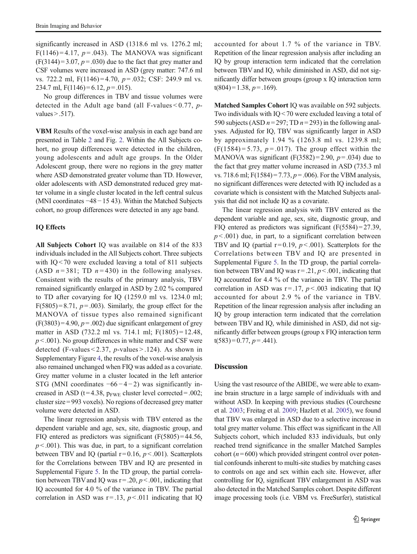significantly increased in ASD (1318.6 ml vs. 1276.2 ml; F(1146) = 4.17,  $p = .043$ ). The MANOVA was significant  $(F(3144) = 3.07, p = .030)$  due to the fact that grey matter and CSF volumes were increased in ASD (grey matter: 747.6 ml vs. 722.2 ml,  $F(1146) = 4.70$ ,  $p = .032$ ; CSF: 249.9 ml vs. 234.7 ml,  $F(1146) = 6.12$ ,  $p = .015$ ).

No group differences in TBV and tissue volumes were detected in the Adult age band (all F-values  $< 0.77$ , pvalues  $> 0.517$ ).

VBM Results of the voxel-wise analysis in each age band are presented in Table [2](#page-5-0) and Fig. [2](#page-5-0). Within the All Subjects cohort, no group differences were detected in the children, young adolescents and adult age groups. In the Older Adolescent group, there were no regions in the grey matter where ASD demonstrated greater volume than TD. However, older adolescents with ASD demonstrated reduced grey matter volume in a single cluster located in the left central sulcus (MNI coordinates −48−15 43). Within the Matched Subjects cohort, no group differences were detected in any age band.

## IQ Effects

All Subjects Cohort IQ was available on 814 of the 833 individuals included in the All Subjects cohort. Three subjects with IQ < 70 were excluded leaving a total of 811 subjects (ASD  $n = 381$ ; TD  $n = 430$ ) in the following analyses. Consistent with the results of the primary analysis, TBV remained significantly enlarged in ASD by 2.02 % compared to TD after covarying for IQ (1259.0 ml vs. 1234.0 ml;  $F(5805) = 8.71$ ,  $p = .003$ ). Similarly, the group effect for the MANOVA of tissue types also remained significant  $(F(3803) = 4.90, p = .002)$  due significant enlargement of grey matter in ASD (732.2 ml vs. 714.1 ml; F(1805) = 12.48,  $p < .001$ ). No group differences in white matter and CSF were detected (F-values  $< 2.37$ , p-values  $> 0.124$ ). As shown in Supplementary Figure 4, the results of the voxel-wise analysis also remained unchanged when FIQ was added as a covariate. Grey matter volume in a cluster located in the left anterior STG (MNI coordinates  $-66 - 4 - 2$ ) was significantly increased in ASD ( $t = 4.38$ ,  $p_{FWE}$  cluster level corrected = .002; cluster size = 993 voxels). No regions of decreased grey matter volume were detected in ASD.

The linear regression analysis with TBV entered as the dependent variable and age, sex, site, diagnostic group, and FIQ entered as predictors was significant  $(F(5805) = 44.56,$  $p < .001$ ). This was due, in part, to a significant correlation between TBV and IQ (partial  $r = 0.16$ ,  $p < .001$ ). Scatterplots for the Correlations between TBV and IQ are presented in Supplemental Figure 5. In the TD group, the partial correlation between TBV and IQ was  $r = .20$ ,  $p < .001$ , indicating that IQ accounted for 4.0 % of the variance in TBV. The partial correlation in ASD was  $r = .13$ ,  $p < .011$  indicating that IQ accounted for about 1.7 % of the variance in TBV. Repetition of the linear regression analysis after including an IQ by group interaction term indicated that the correlation between TBV and IQ, while diminished in ASD, did not significantly differ between groups (group x IQ interaction term  $t(804)=1.38, p=.169$ .

Matched Samples Cohort IQ was available on 592 subjects. Two individuals with IQ < 70 were excluded leaving a total of 590 subjects (ASD  $n=297$ ; TD  $n=293$ ) in the following analyses. Adjusted for IQ, TBV was significantly larger in ASD by approximately 1.94 % (1263.8 ml vs. 1239.8 ml;  $(F(1584)=5.73, p=.017)$ . The group effect within the MANOVA was significant  $(F(3582)=2.90, p=.034)$  due to the fact that grey matter volume increased in ASD (735.3 ml vs. 718.6 ml; F(1584) = 7.73,  $p = .006$ ). For the VBM analysis, no significant differences were detected with IQ included as a covariate which is consistent with the Matched Subjects analysis that did not include IQ as a covariate.

The linear regression analysis with TBV entered as the dependent variable and age, sex, site, diagnostic group, and FIQ entered as predictors was significant  $(F(5584) = 27.39)$ ,  $p < .001$ ) due, in part, to a significant correlation between TBV and IQ (partial  $r = 0.19$ ,  $p < .001$ ). Scatterplots for the Correlations between TBV and IQ are presented in Supplemental Figure 5. In the TD group, the partial correlation between TBV and IQ was  $r = .21$ ,  $p < .001$ , indicating that IQ accounted for 4.4 % of the variance in TBV. The partial correlation in ASD was  $r = .17$ ,  $p < .003$  indicating that IQ accounted for about 2.9 % of the variance in TBV. Repetition of the linear regression analysis after including an IQ by group interaction term indicated that the correlation between TBV and IQ, while diminished in ASD, did not significantly differ between groups (group x FIQ interaction term  $t(583)=0.77, p=.441$ ).

### Discussion

Using the vast resource of the ABIDE, we were able to examine brain structure in a large sample of individuals with and without ASD. In keeping with previous studies (Courchesne et al. [2003](#page-8-0); Freitag et al. [2009;](#page-8-0) Hazlett et al. [2005](#page-9-0)), we found that TBV was enlarged in ASD due to a selective increase in total grey matter volume. This effect was significant in the All Subjects cohort, which included 833 individuals, but only reached trend significance in the smaller Matched Samples cohort ( $n = 600$ ) which provided stringent control over potential confounds inherent to multi-site studies by matching cases to controls on age and sex within each site. However, after controlling for IQ, significant TBV enlargement in ASD was also detected in the Matched Samples cohort. Despite different image processing tools (i.e. VBM vs. FreeSurfer), statistical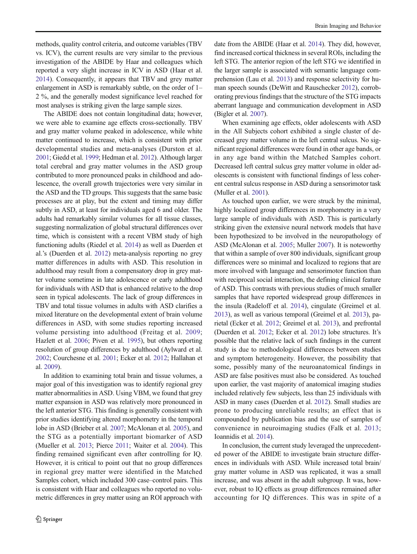methods, quality control criteria, and outcome variables (TBV vs. ICV), the current results are very similar to the previous investigation of the ABIDE by Haar and colleagues which reported a very slight increase in ICV in ASD (Haar et al. [2014\)](#page-9-0). Consequently, it appears that TBV and grey matter enlargement in ASD is remarkably subtle, on the order of 1– 2 %, and the generally modest significance level reached for most analyses is striking given the large sample sizes.

The ABIDE does not contain longitudinal data; however, we were able to examine age effects cross-sectionally. TBV and gray matter volume peaked in adolescence, while white matter continued to increase, which is consistent with prior developmental studies and meta-analyses (Durston et al. [2001;](#page-8-0) Giedd et al. [1999;](#page-9-0) Hedman et al. [2012](#page-9-0)). Although larger total cerebral and gray matter volumes in the ASD group contributed to more pronounced peaks in childhood and adolescence, the overall growth trajectories were very similar in the ASD and the TD groups. This suggests that the same basic processes are at play, but the extent and timing may differ subtly in ASD, at least for individuals aged 6 and older. The adults had remarkably similar volumes for all tissue classes, suggesting normalization of global structural differences over time, which is consistent with a recent VBM study of high functioning adults (Riedel et al. [2014\)](#page-9-0) as well as Duerden et al.'s (Duerden et al. [2012\)](#page-8-0) meta-analysis reporting no grey matter differences in adults with ASD. This resolution in adulthood may result from a compensatory drop in grey matter volume sometime in late adolescence or early adulthood for individuals with ASD that is enhanced relative to the drop seen in typical adolescents. The lack of group differences in TBV and total tissue volumes in adults with ASD clarifies a mixed literature on the developmental extent of brain volume differences in ASD, with some studies reporting increased volume persisting into adulthood (Freitag et al. [2009](#page-8-0); Hazlett et al. [2006;](#page-9-0) Piven et al. [1995\)](#page-9-0), but others reporting resolution of group differences by adulthood (Aylward et al. [2002;](#page-8-0) Courchesne et al. [2001](#page-8-0); Ecker et al. [2012;](#page-8-0) Hallahan et al. [2009\)](#page-9-0).

In addition to examining total brain and tissue volumes, a major goal of this investigation was to identify regional grey matter abnormalities in ASD. Using VBM, we found that grey matter expansion in ASD was relatively more pronounced in the left anterior STG. This finding is generally consistent with prior studies identifying altered morphometry in the temporal lobe in ASD (Brieber et al. [2007](#page-8-0); McAlonan et al. [2005\)](#page-9-0), and the STG as a potentially important biomarker of ASD (Mueller et al. [2013](#page-9-0); Pierce [2011](#page-9-0); Waiter et al. [2004\)](#page-10-0). This finding remained significant even after controlling for IQ. However, it is critical to point out that no group differences in regional grey matter were identified in the Matched Samples cohort, which included 300 case–control pairs. This is consistent with Haar and colleagues who reported no volumetric differences in grey matter using an ROI approach with date from the ABIDE (Haar et al. [2014\)](#page-9-0). They did, however, find increased cortical thickness in several ROIs, including the left STG. The anterior region of the left STG we identified in the larger sample is associated with semantic language comprehension (Lau et al. [2013\)](#page-9-0) and response selectivity for human speech sounds (DeWitt and Rauschecker [2012\)](#page-8-0), corroborating previous findings that the structure of the STG impacts aberrant language and communication development in ASD (Bigler et al. [2007](#page-8-0)).

When examining age effects, older adolescents with ASD in the All Subjects cohort exhibited a single cluster of decreased grey matter volume in the left central sulcus. No significant regional differences were found in other age bands, or in any age band within the Matched Samples cohort. Decreased left central sulcus grey matter volume in older adolescents is consistent with functional findings of less coherent central sulcus response in ASD during a sensorimotor task (Muller et al. [2001](#page-9-0)).

As touched upon earlier, we were struck by the minimal, highly localized group differences in morphometry in a very large sample of individuals with ASD. This is particularly striking given the extensive neural network models that have been hypothesized to be involved in the neuropathology of ASD (McAlonan et al. [2005;](#page-9-0) Muller [2007](#page-9-0)). It is noteworthy that within a sample of over 800 individuals, significant group differences were so minimal and localized to regions that are more involved with language and sensorimotor function than with reciprocal social interaction, the defining clinical feature of ASD. This contrasts with previous studies of much smaller samples that have reported widespread group differences in the insula (Radeloff et al. [2014](#page-9-0)), cingulate (Greimel et al. [2013\)](#page-9-0), as well as various temporal (Greimel et al. [2013](#page-9-0)), parietal (Ecker et al. [2012;](#page-8-0) Greimel et al. [2013\)](#page-9-0), and prefrontal (Duerden et al. [2012](#page-8-0); Ecker et al. [2012\)](#page-8-0) lobe structures. It's possible that the relative lack of such findings in the current study is due to methodological differences between studies and symptom heterogeneity. However, the possibility that some, possibly many of the neuroanatomical findings in ASD are false positives must also be considered. As touched upon earlier, the vast majority of anatomical imaging studies included relatively few subjects, less than 25 individuals with ASD in many cases (Duerden et al. [2012\)](#page-8-0). Small studies are prone to producing unreliable results; an effect that is compounded by publication bias and the use of samples of convenience in neuroimaging studies (Falk et al. [2013;](#page-8-0) Ioannidis et al. [2014\)](#page-9-0).

In conclusion, the current study leveraged the unprecedented power of the ABIDE to investigate brain structure differences in individuals with ASD. While increased total brain/ gray matter volume in ASD was replicated, it was a small increase, and was absent in the adult subgroup. It was, however, robust to IQ effects as group differences remained after accounting for IQ differences. This was in spite of a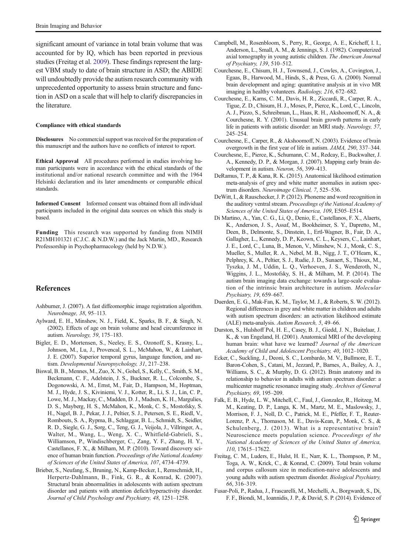<span id="page-8-0"></span>significant amount of variance in total brain volume that was accounted for by IQ, which has been reported in previous studies (Freitag et al. 2009). These findings represent the largest VBM study to date of brain structure in ASD; the ABIDE will undoubtedly provide the autism research community with unprecedented opportunity to assess brain structure and function in ASD on a scale that will help to clarify discrepancies in the literature.

#### Compliance with ethical standards

Disclosures No commercial support was received for the preparation of this manuscript and the authors have no conflicts of interest to report.

Ethical Approval All procedures performed in studies involving human participants were in accordance with the ethical standards of the institutional and/or national research committee and with the 1964 Helsinki declaration and its later amendments or comparable ethical standards.

Informed Consent Informed consent was obtained from all individual participants included in the original data sources on which this study is based.

Funding This research was supported by funding from NIMH R21MH101321 (C.J.C. & N.D.W.) and the Jack Martin, MD., Research Professorship in Psychopharmacology (held by N.D.W.).

## References

- Ashburner, J. (2007). A fast diffeomorphic image registration algorithm. NeuroImage, 38, 95–113.
- Aylward, E. H., Minshew, N. J., Field, K., Sparks, B. F., & Singh, N. (2002). Effects of age on brain volume and head circumference in autism. Neurology, 59, 175–183.
- Bigler, E. D., Mortensen, S., Neeley, E. S., Ozonoff, S., Krasny, L., Johnson, M., Lu, J., Provencal, S. L., McMahon, W., & Lainhart, J. E. (2007). Superior temporal gyrus, language function, and autism. Developmental Neuropsychology, 31, 217–238.
- Biswal, B. B., Mennes, M., Zuo, X. N., Gohel, S., Kelly, C., Smith, S. M., Beckmann, C. F., Adelstein, J. S., Buckner, R. L., Colcombe, S., Dogonowski, A. M., Ernst, M., Fair, D., Hampson, M., Hoptman, M. J., Hyde, J. S., Kiviniemi, V. J., Kotter, R., Li, S. J., Lin, C. P., Lowe, M. J., Mackay, C., Madden, D. J., Madsen, K. H., Margulies, D. S., Mayberg, H. S., McMahon, K., Monk, C. S., Mostofsky, S. H., Nagel, B. J., Pekar, J. J., Peltier, S. J., Petersen, S. E., Riedl, V., Rombouts, S. A., Rypma, B., Schlaggar, B. L., Schmidt, S., Seidler, R. D., Siegle, G. J., Sorg, C., Teng, G. J., Veijola, J., Villringer, A., Walter, M., Wang, L., Weng, X. C., Whitfield-Gabrieli, S., Williamson, P., Windischberger, C., Zang, Y. F., Zhang, H. Y., Castellanos, F. X., & Milham, M. P. (2010). Toward discovery science of human brain function. Proceedings of the National Academy of Sciences of the United States of America, 107, 4734–4739.
- Brieber, S., Neufang, S., Bruning, N., Kamp-Becker, I., Remschmidt, H., Herpertz-Dahlmann, B., Fink, G. R., & Konrad, K. (2007). Structural brain abnormalities in adolescents with autism spectrum disorder and patients with attention deficit/hyperactivity disorder. Journal of Child Psychology and Psychiatry, 48, 1251–1258.
- Campbell, M., Rosenbloom, S., Perry, R., George, A. E., Kricheff, I. I., Anderson, L., Small, A. M., & Jennings, S. J. (1982). Computerized axial tomography in young autistic children. The American Journal of Psychiatry, 139, 510–512.
- Courchesne, E., Chisum, H. J., Townsend, J., Cowles, A., Covington, J., Egaas, B., Harwood, M., Hinds, S., & Press, G. A. (2000). Normal brain development and aging: quantitative analysis at in vivo MR imaging in healthy volunteers. Radiology, 216, 672–682.
- Courchesne, E., Karns, C. M., Davis, H. R., Ziccardi, R., Carper, R. A., Tigue, Z. D., Chisum, H. J., Moses, P., Pierce, K., Lord, C., Lincoln, A. J., Pizzo, S., Schreibman, L., Haas, R. H., Akshoomoff, N. A., & Courchesne, R. Y. (2001). Unusual brain growth patterns in early life in patients with autistic disorder: an MRI study. Neurology, 57, 245–254.
- Courchesne, E., Carper, R., & Akshoomoff, N. (2003). Evidence of brain overgrowth in the first year of life in autism. JAMA, 290, 337–344.
- Courchesne, E., Pierce, K., Schumann, C. M., Redcay, E., Buckwalter, J. A., Kennedy, D. P., & Morgan, J. (2007). Mapping early brain development in autism. Neuron, 56, 399–413.
- DeRamus, T. P., & Kana, R. K. (2015). Anatomical likelihood estimation meta-analysis of grey and white matter anomalies in autism spectrum disorders. Neuroimage Clinical, 7, 525–536.
- DeWitt, I., & Rauschecker, J. P. (2012). Phoneme and word recognition in the auditory ventral stream. Proceedings of the National Academy of Sciences of the United States of America, 109, E505–E514.
- Di Martino, A., Yan, C. G., Li, Q., Denio, E., Castellanos, F. X., Alaerts, K., Anderson, J. S., Assaf, M., Bookheimer, S. Y., Dapretto, M., Deen, B., Delmonte, S., Dinstein, I., Ertl-Wagner, B., Fair, D. A., Gallagher, L., Kennedy, D. P., Keown, C. L., Keysers, C., Lainhart, J. E., Lord, C., Luna, B., Menon, V., Minshew, N. J., Monk, C. S., Mueller, S., Muller, R. A., Nebel, M. B., Nigg, J. T., O'Hearn, K., Pelphrey, K. A., Peltier, S. J., Rudie, J. D., Sunaert, S., Thioux, M., Tyszka, J. M., Uddin, L. Q., Verhoeven, J. S., Wenderoth, N., Wiggins, J. L., Mostofsky, S. H., & Milham, M. P. (2014). The autism brain imaging data exchange: towards a large-scale evaluation of the intrinsic brain architecture in autism. Molecular Psychiatry, 19, 659–667.
- Duerden, E. G., Mak-Fan, K. M., Taylor, M. J., & Roberts, S. W. (2012). Regional differences in grey and white matter in children and adults with autism spectrum disorders: an activation likelihood estimate (ALE) meta-analysis. Autism Research, 5, 49–66.
- Durston, S., Hulshoff Pol, H. E., Casey, B. J., Giedd, J. N., Buitelaar, J. K., & van Engeland, H. (2001). Anatomical MRI of the developing human brain: what have we learned? Journal of the American Academy of Child and Adolescent Psychiatry, 40, 1012–1020.
- Ecker, C., Suckling, J., Deoni, S. C., Lombardo, M. V., Bullmore, E. T., Baron-Cohen, S., Catani, M., Jezzard, P., Barnes, A., Bailey, A. J., Williams, S. C., & Murphy, D. G. (2012). Brain anatomy and its relationship to behavior in adults with autism spectrum disorder: a multicenter magnetic resonance imaging study. Archives of General Psychiatry, 69, 195–209.
- Falk, E. B., Hyde, L. W., Mitchell, C., Faul, J., Gonzalez, R., Heitzeg, M. M., Keating, D. P., Langa, K. M., Martz, M. E., Maslowsky, J., Morrison, F. J., Noll, D. C., Patrick, M. E., Pfeffer, F. T., Reuter-Lorenz, P. A., Thomason, M. E., Davis-Kean, P., Monk, C. S., & Schulenberg, J. (2013). What is a representative brain? Neuroscience meets population science. Proceedings of the National Academy of Sciences of the United States of America, 110, 17615–17622.
- Freitag, C. M., Luders, E., Hulst, H. E., Narr, K. L., Thompson, P. M., Toga, A. W., Krick, C., & Konrad, C. (2009). Total brain volume and corpus callosum size in medication-naive adolescents and young adults with autism spectrum disorder. Biological Psychiatry, 66, 316–319.
- Fusar-Poli, P., Radua, J., Frascarelli, M., Mechelli, A., Borgwardt, S., Di, F. F., Biondi, M., Ioannidis, J. P., & David, S. P. (2014). Evidence of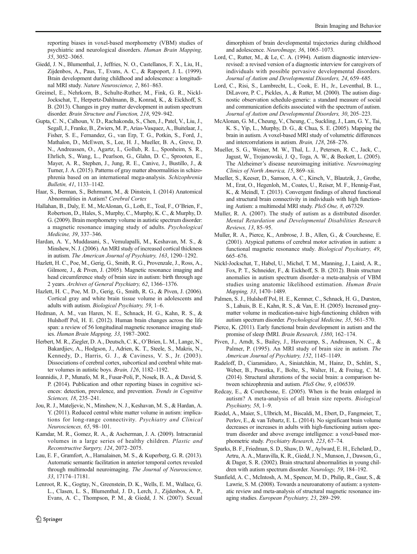<span id="page-9-0"></span>reporting biases in voxel-based morphometry (VBM) studies of psychiatric and neurological disorders. Human Brain Mapping, 35, 3052–3065.

- Giedd, J. N., Blumenthal, J., Jeffries, N. O., Castellanos, F. X., Liu, H., Zijdenbos, A., Paus, T., Evans, A. C., & Rapoport, J. L. (1999). Brain development during childhood and adolescence: a longitudinal MRI study. Nature Neuroscience, 2, 861–863.
- Greimel, E., Nehrkorn, B., Schulte-Ruther, M., Fink, G. R., Nickl-Jockschat, T., Herpertz-Dahlmann, B., Konrad, K., & Eickhoff, S. B. (2013). Changes in grey matter development in autism spectrum disorder. Brain Structure and Function, 218, 929–942.
- Gupta, C. N., Calhoun, V. D., Rachakonda, S., Chen, J., Patel, V., Liu, J., Segall, J., Franke, B., Zwiers, M. P., Arias-Vasquez, A., Buitelaar, J., Fisher, S. E., Fernandez, G., van Erp, T. G., Potkin, S., Ford, J., Mathalon, D., McEwen, S., Lee, H. J., Mueller, B. A., Greve, D. N., Andreassen, O., Agartz, I., Gollub, R. L., Sponheim, S. R., Ehrlich, S., Wang, L., Pearlson, G., Glahn, D. C., Sprooten, E., Mayer, A. R., Stephen, J., Jung, R. E., Canive, J., Bustillo, J., & Turner, J. A. (2015). Patterns of gray matter abnormalities in schizophrenia based on an international mega-analysis. Schizophrenia Bulletin, 41, 1133–1142.
- Haar, S., Berman, S., Behrmann, M., & Dinstein, I. (2014) Anatomical Abnormalities in Autism? Cerebral Cortex
- Hallahan, B., Daly, E. M., McAlonan, G., Loth, E., Toal, F., O'Brien, F., Robertson, D., Hales, S., Murphy, C., Murphy, K. C., & Murphy, D. G. (2009). Brain morphometry volume in autistic spectrum disorder: a magnetic resonance imaging study of adults. Psychological Medicine, 39, 337–346.
- Hardan, A. Y., Muddasani, S., Vemulapalli, M., Keshavan, M. S., & Minshew, N. J. (2006). An MRI study of increased cortical thickness in autism. The American Journal of Psychiatry, 163, 1290–1292.
- Hazlett, H. C., Poe, M., Gerig, G., Smith, R. G., Provenzale, J., Ross, A., Gilmore, J., & Piven, J. (2005). Magnetic resonance imaging and head circumference study of brain size in autism: birth through age 2 years. Archives of General Psychiatry, 62, 1366–1376.
- Hazlett, H. C., Poe, M. D., Gerig, G., Smith, R. G., & Piven, J. (2006). Cortical gray and white brain tissue volume in adolescents and adults with autism. Biological Psychiatry, 59, 1–6.
- Hedman, A. M., van Haren, N. E., Schnack, H. G., Kahn, R. S., & Hulshoff Pol, H. E. (2012). Human brain changes across the life span: a review of 56 longitudinal magnetic resonance imaging studies. Human Brain Mapping, 33, 1987–2002.
- Herbert, M. R., Ziegler, D. A., Deutsch, C. K., O'Brien, L. M., Lange, N., Bakardjiev, A., Hodgson, J., Adrien, K. T., Steele, S., Makris, N., Kennedy, D., Harris, G. J., & Caviness, V. S., Jr. (2003). Dissociations of cerebral cortex, subcortical and cerebral white matter volumes in autistic boys. Brain, 126, 1182–1192.
- Ioannidis, J. P., Munafo, M. R., Fusar-Poli, P., Nosek, B. A., & David, S. P. (2014). Publication and other reporting biases in cognitive sciences: detection, prevalence, and prevention. Trends in Cognitive Sciences, 18, 235–241.
- Jou, R. J., Mateljevic, N., Minshew, N. J., Keshavan, M. S., & Hardan, A. Y. (2011). Reduced central white matter volume in autism: implications for long-range connectivity. Psychiatry and Clinical Neurosciences, 65, 98–101.
- Kamdar, M. R., Gomez, R. A., & Ascherman, J. A. (2009). Intracranial volumes in a large series of healthy children. Plastic and Reconstructive Surgery, 124, 2072–2075.
- Lau, E. F., Gramfort, A., Hamalainen, M. S., & Kuperberg, G. R. (2013). Automatic semantic facilitation in anterior temporal cortex revealed through multimodal neuroimaging. The Journal of Neuroscience, 33, 17174–17181.
- Lenroot, R. K., Gogtay, N., Greenstein, D. K., Wells, E. M., Wallace, G. L., Clasen, L. S., Blumenthal, J. D., Lerch, J., Zijdenbos, A. P., Evans, A. C., Thompson, P. M., & Giedd, J. N. (2007). Sexual

 $\hat{Z}$  Springer

dimorphism of brain developmental trajectories during childhood and adolescence. NeuroImage, 36, 1065–1073.

- Lord, C., Rutter, M., & Le, C. A. (1994). Autism diagnostic interviewrevised: a revised version of a diagnostic interview for caregivers of individuals with possible pervasive developmental disorders. Journal of Autism and Developmental Disorders, 24, 659–685.
- Lord, C., Risi, S., Lambrecht, L., Cook, E. H., Jr., Leventhal, B. L., DiLavore, P. C., Pickles, A., & Rutter, M. (2000). The autism diagnostic observation schedule-generic: a standard measure of social and communication deficits associated with the spectrum of autism. Journal of Autism and Developmental Disorders, 30, 205–223.
- McAlonan, G. M., Cheung, V., Cheung, C., Suckling, J., Lam, G. Y., Tai, K. S., Yip, L., Murphy, D. G., & Chua, S. E. (2005). Mapping the brain in autism. A voxel-based MRI study of volumetric differences and intercorrelations in autism. Brain, 128, 268–276.
- Mueller, S. G., Weiner, M. W., Thal, L. J., Petersen, R. C., Jack, C., Jagust, W., Trojanowski, J. Q., Toga, A. W., & Beckett, L. (2005). The Alzheimer's disease neuroimaging initiative. Neuroimaging Clinics of North America, 15, 869–xii.
- Mueller, S., Keeser, D., Samson, A. C., Kirsch, V., Blautzik, J., Grothe, M., Erat, O., Hegenloh, M., Coates, U., Reiser, M. F., Hennig-Fast, K., & Meindl, T. (2013). Convergent findings of altered functional and structural brain connectivity in individuals with high functioning Autism: a multimodal MRI study. PloS One, 8, e67329.
- Muller, R. A. (2007). The study of autism as a distributed disorder. Mental Retardation and Developmental Disabilities Research Reviews, 13, 85–95.
- Muller, R. A., Pierce, K., Ambrose, J. B., Allen, G., & Courchesne, E. (2001). Atypical patterns of cerebral motor activation in autism: a functional magnetic resonance study. Biological Psychiatry, 49, 665–676.
- Nickl-Jockschat, T., Habel, U., Michel, T. M., Manning, J., Laird, A. R., Fox, P. T., Schneider, F., & Eickhoff, S. B. (2012). Brain structure anomalies in autism spectrum disorder–a meta-analysis of VBM studies using anatomic likelihood estimation. Human Brain Mapping, 33, 1470–1489.
- Palmen, S. J., Hulshoff Pol, H. E., Kemner, C., Schnack, H. G., Durston, S., Lahuis, B. E., Kahn, R. S., & Van, E. H. (2005). Increased graymatter volume in medication-naive high-functioning children with autism spectrum disorder. Psychological Medicine, 35, 561–570.
- Pierce, K. (2011). Early functional brain development in autism and the promise of sleep fMRI. Brain Research, 1380, 162–174.
- Piven, J., Arndt, S., Bailey, J., Havercamp, S., Andreasen, N. C., & Palmer, P. (1995). An MRI study of brain size in autism. The American Journal of Psychiatry, 152, 1145–1149.
- Radeloff, D., Ciaramidaro, A., Siniatchkin, M., Hainz, D., Schlitt, S., Weber, B., Poustka, F., Bolte, S., Walter, H., & Freitag, C. M. (2014). Structural alterations of the social brain: a comparison between schizophrenia and autism. PloS One, 9, e106539.
- Redcay, E., & Courchesne, E. (2005). When is the brain enlarged in autism? A meta-analysis of all brain size reports. Biological Psychiatry, 58, 1–9.
- Riedel, A., Maier, S., Ulbrich, M., Biscaldi, M., Ebert, D., Fangmeier, T., Perlov, E., & van Tebartz, E. L. (2014). No significant brain volume decreases or increases in adults with high-functioning autism spectrum disorder and above average intelligence: a voxel-based morphometric study. Psychiatry Research, 223, 67–74.
- Sparks, B. F., Friedman, S. D., Shaw, D. W., Aylward, E. H., Echelard, D., Artru, A. A., Maravilla, K. R., Giedd, J. N., Munson, J., Dawson, G., & Dager, S. R. (2002). Brain structural abnormalities in young children with autism spectrum disorder. Neurology, 59, 184–192.
- Stanfield, A. C., McIntosh, A. M., Spencer, M. D., Philip, R., Gaur, S., & Lawrie, S. M. (2008). Towards a neuroanatomy of autism: a systematic review and meta-analysis of structural magnetic resonance imaging studies. European Psychiatry, 23, 289–299.